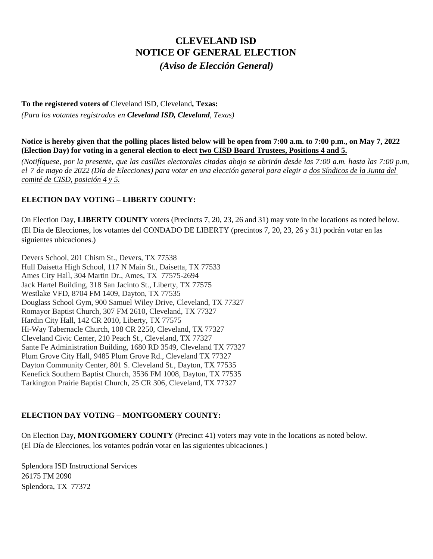## **CLEVELAND ISD NOTICE OF GENERAL ELECTION** *(Aviso de Elección General)*

## **To the registered voters of** Cleveland ISD, Cleveland**, Texas:**

*(Para los votantes registrados en Cleveland ISD, Cleveland, Texas)*

#### Notice is hereby given that the polling places listed below will be open from 7:00 a.m. to 7:00 p.m., on May 7, 2022 **(Election Day) for voting in a general election to elect two CISD Board Trustees, Positions 4 and 5.**

(Notifíquese, por la presente, que las casillas electorales citadas abajo se abrirán desde las 7:00 a.m. hasta las 7:00 p.m. *el 7 de mayo de 2022 (Día de Elecciones) para votar en una elección general para elegir a dos Síndicos de la Junta del comité de CISD, posición 4 y 5.*

### **ELECTION DAY VOTING – LIBERTY COUNTY:**

On Election Day, **LIBERTY COUNTY** voters (Precincts 7, 20, 23, 26 and 31) may vote in the locations as noted below. (El Día de Elecciones, los votantes del CONDADO DE LIBERTY (precintos 7, 20, 23, 26 y 31) podrán votar en las siguientes ubicaciones.)

Devers School, 201 Chism St., Devers, TX 77538 Hull Daisetta High School, 117 N Main St., Daisetta, TX 77533 Ames City Hall, 304 Martin Dr., Ames, TX 77575-2694 Jack Hartel Building, 318 San Jacinto St., Liberty, TX 77575 Westlake VFD, 8704 FM 1409, Dayton, TX 77535 Douglass School Gym, 900 Samuel Wiley Drive, Cleveland, TX 77327 Romayor Baptist Church, 307 FM 2610, Cleveland, TX 77327 Hardin City Hall, 142 CR 2010, Liberty, TX 77575 Hi-Way Tabernacle Church, 108 CR 2250, Cleveland, TX 77327 Cleveland Civic Center, 210 Peach St., Cleveland, TX 77327 Sante Fe Administration Building, 1680 RD 3549, Cleveland TX 77327 Plum Grove City Hall, 9485 Plum Grove Rd., Cleveland TX 77327 Dayton Community Center, 801 S. Cleveland St., Dayton, TX 77535 Kenefick Southern Baptist Church, 3536 FM 1008, Dayton, TX 77535 Tarkington Prairie Baptist Church, 25 CR 306, Cleveland, TX 77327

## **ELECTION DAY VOTING – MONTGOMERY COUNTY:**

On Election Day, **MONTGOMERY COUNTY** (Precinct 41) voters may vote in the locations as noted below. (El Día de Elecciones, los votantes podrán votar en las siguientes ubicaciones.)

Splendora ISD Instructional Services 26175 FM 2090 Splendora, TX 77372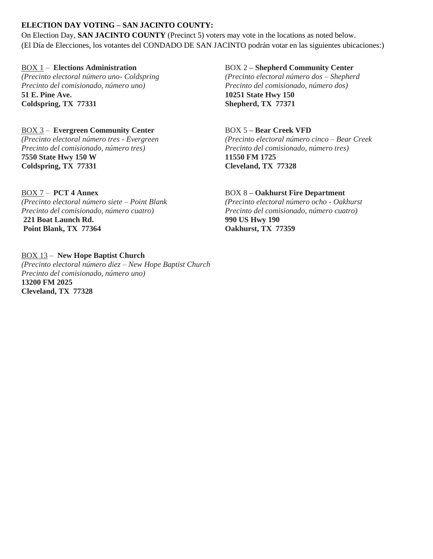#### **ELECTION DAY VOTING – SAN JACINTO COUNTY:**

On Election Day, **SAN JACINTO COUNTY** (Precinct 5) voters may vote in the locations as noted below. (El Día de Elecciones, los votantes del CONDADO DE SAN JACINTO podrán votar en las siguientes ubicaciones:)

*(Precinto electoral número uno- Coldspring (Precinto electoral número dos – Shepherd Precinto del comisionado, número uno) Precinto del comisionado, número dos)* **51 E. Pine Ave. 10251 State Hwy 150 Coldspring, TX 77331 Shepherd, TX 77371**

#### BOX 3 – **Evergreen Community Center** BOX 5 **– Bear Creek VFD**

*Precinto del comisionado, número tres) Precinto del comisionado, número tres)* **7550 State Hwy 150 W 11550 FM 1725 Coldspring, TX 77331 Cleveland, TX 77328**

*Precinto del comisionado, número cuatro) Precinto del comisionado, número cuatro)* **221 Boat Launch Rd. 990 US Hwy 190 Point Blank, TX 77364 Oakhurst, TX 77359**

BOX 13 – **New Hope Baptist Church** *(Precinto electoral número diez – New Hope Baptist Church Precinto del comisionado, número uno)* **13200 FM 2025 Cleveland, TX 77328**

BOX 1 – **Elections Administration** BOX 2 **– Shepherd Community Center**

*(Precinto electoral número tres - Evergreen (Precinto electoral número cinco – Bear Creek*

BOX 7 – **PCT 4 Annex** BOX 8 **– Oakhurst Fire Department** *(Precinto electoral número siete – Point Blank (Precinto electoral número ocho - Oakhurst*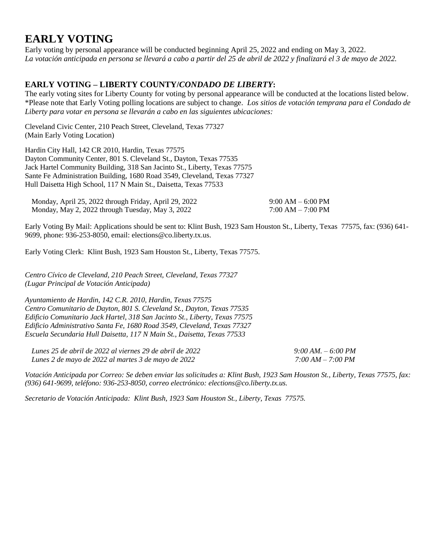# **EARLY VOTING**

Early voting by personal appearance will be conducted beginning April 25, 2022 and ending on May 3, 2022. *La votación anticipada en persona se llevará a cabo a partir del 25 de abril de 2022 y finalizará el 3 de mayo de 2022.*

#### **EARLY VOTING – LIBERTY COUNTY/***CONDADO DE LIBERTY***:**

The early voting sites for Liberty County for voting by personal appearance will be conducted at the locations listed below. \*Please note that Early Voting polling locations are subject to change. *Los sitios de votación temprana para el Condado de Liberty para votar en persona se llevarán a cabo en las siguientes ubicaciones:*

Cleveland Civic Center, 210 Peach Street, Cleveland, Texas 77327 (Main Early Voting Location)

Hardin City Hall, 142 CR 2010, Hardin, Texas 77575 Dayton Community Center, 801 S. Cleveland St., Dayton, Texas 77535 Jack Hartel Community Building, 318 San Jacinto St., Liberty, Texas 77575 Sante Fe Administration Building, 1680 Road 3549, Cleveland, Texas 77327 Hull Daisetta High School, 117 N Main St., Daisetta, Texas 77533

| Monday, April 25, 2022 through Friday, April 29, 2022 | $9:00 AM - 6:00 PM$ |
|-------------------------------------------------------|---------------------|
| Monday, May 2, 2022 through Tuesday, May 3, 2022      | $7:00 AM - 7:00 PM$ |

Early Voting By Mail: Applications should be sent to: Klint Bush, 1923 Sam Houston St., Liberty, Texas 77575, fax: (936) 641- 9699, phone: 936-253-8050, email: elections@co.liberty.tx.us.

Early Voting Clerk: Klint Bush, 1923 Sam Houston St., Liberty, Texas 77575.

*Centro Cívico de Cleveland, 210 Peach Street, Cleveland, Texas 77327 (Lugar Principal de Votación Anticipada)*

*Ayuntamiento de Hardin, 142 C.R. 2010, Hardin, Texas 77575 Centro Comunitario de Dayton, 801 S. Cleveland St., Dayton, Texas 77535 Edificio Comunitario Jack Hartel, 318 San Jacinto St., Liberty, Texas 77575 Edificio Administrativo Santa Fe, 1680 Road 3549, Cleveland, Texas 77327 Escuela Secundaria Hull Daisetta, 117 N Main St., Daisetta, Texas 77533*

*Lunes 25 de abril de 2022 al viernes 29 de abril de 2022 9:00 AM. – 6:00 PM Lunes 2 de mayo de 2022 al martes 3 de mayo de 2022 7:00 AM – 7:00 PM*

*Votación Anticipada por Correo: Se deben enviar las solicitudes a: Klint Bush, 1923 Sam Houston St., Liberty, Texas 77575, fax: (936) 641-9699, teléfono: 936-253-8050, correo electrónico: elections@co.liberty.tx.us.*

*Secretario de Votación Anticipada: Klint Bush, 1923 Sam Houston St., Liberty, Texas 77575.*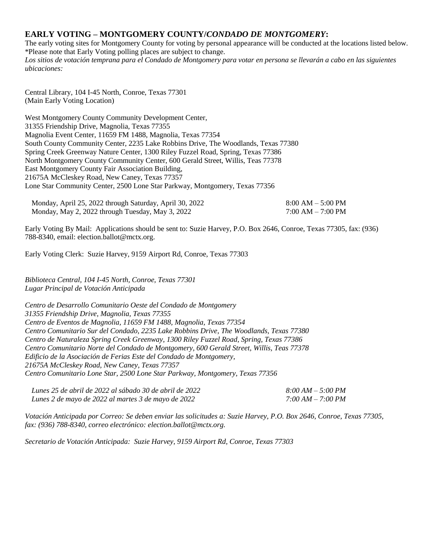#### **EARLY VOTING – MONTGOMERY COUNTY/***CONDADO DE MONTGOMERY***:**

The early voting sites for Montgomery County for voting by personal appearance will be conducted at the locations listed below. \*Please note that Early Voting polling places are subject to change. *Los sitios de votación temprana para el Condado de Montgomery para votar en persona se llevarán a cabo en las siguientes ubicaciones:*

Central Library, 104 I-45 North, Conroe, Texas 77301 (Main Early Voting Location)

West Montgomery County Community Development Center, 31355 Friendship Drive, Magnolia, Texas 77355 Magnolia Event Center, 11659 FM 1488, Magnolia, Texas 77354 South County Community Center, 2235 Lake Robbins Drive, The Woodlands, Texas 77380 Spring Creek Greenway Nature Center, 1300 Riley Fuzzel Road, Spring, Texas 77386 North Montgomery County Community Center, 600 Gerald Street, Willis, Teas 77378 East Montgomery County Fair Association Building, 21675A McCleskey Road, New Caney, Texas 77357 Lone Star Community Center, 2500 Lone Star Parkway, Montgomery, Texas 77356

| Monday, April 25, 2022 through Saturday, April 30, 2022 | $8:00 \text{ AM} - 5:00 \text{ PM}$ |
|---------------------------------------------------------|-------------------------------------|
| Monday, May 2, 2022 through Tuesday, May 3, 2022        | $7:00 AM - 7:00 PM$                 |

Early Voting By Mail: Applications should be sent to: Suzie Harvey, P.O. Box 2646, Conroe, Texas 77305, fax: (936) 788-8340, email: election.ballot@mctx.org.

Early Voting Clerk: Suzie Harvey, 9159 Airport Rd, Conroe, Texas 77303

*Biblioteca Central, 104 I-45 North, Conroe, Texas 77301 Lugar Principal de Votación Anticipada*

*Centro de Desarrollo Comunitario Oeste del Condado de Montgomery 31355 Friendship Drive, Magnolia, Texas 77355 Centro de Eventos de Magnolia, 11659 FM 1488, Magnolia, Texas 77354 Centro Comunitario Sur del Condado, 2235 Lake Robbins Drive, The Woodlands, Texas 77380 Centro de Naturaleza Spring Creek Greenway, 1300 Riley Fuzzel Road, Spring, Texas 77386 Centro Comunitario Norte del Condado de Montgomery, 600 Gerald Street, Willis, Teas 77378 Edificio de la Asociación de Ferias Este del Condado de Montgomery, 21675A McCleskey Road, New Caney, Texas 77357 Centro Comunitario Lone Star, 2500 Lone Star Parkway, Montgomery, Texas 77356*

| Lunes 25 de abril de 2022 al sábado 30 de abril de 2022 | $8:00 AM - 5:00 PM$ |
|---------------------------------------------------------|---------------------|
| Lunes 2 de mayo de 2022 al martes 3 de mayo de 2022     | $7:00 AM - 7:00 PM$ |

*Votación Anticipada por Correo: Se deben enviar las solicitudes a: Suzie Harvey, P.O. Box 2646, Conroe, Texas 77305, fax: (936) 788-8340, correo electrónico: election.ballot@mctx.org.*

*Secretario de Votación Anticipada: Suzie Harvey, 9159 Airport Rd, Conroe, Texas 77303*